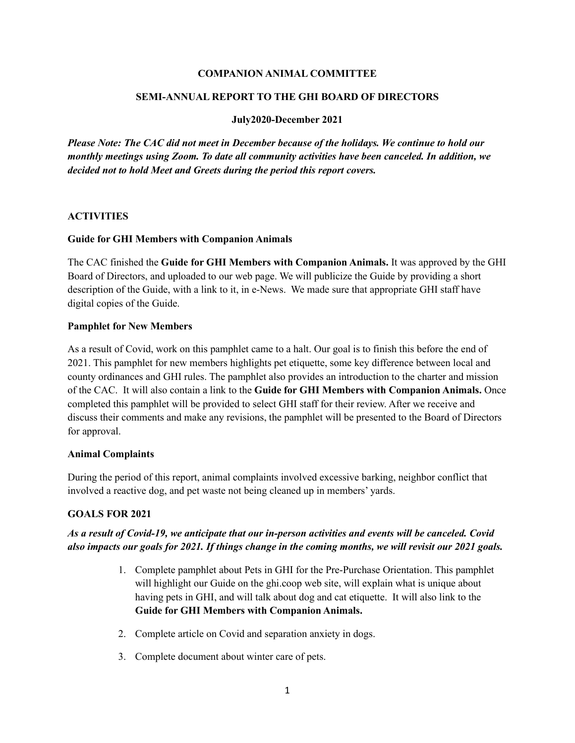### **COMPANION ANIMAL COMMITTEE**

#### **SEMI-ANNUAL REPORT TO THE GHI BOARD OF DIRECTORS**

#### **July2020-December 2021**

*Please Note: The CAC did not meet in December because of the holidays. We continue to hold our monthly meetings using Zoom. To date all community activities have been canceled. In addition, we decided not to hold Meet and Greets during the period this report covers.* 

#### **ACTIVITIES**

#### **Guide for GHI Members with Companion Animals**

The CAC finished the **Guide for GHI Members with Companion Animals.** It was approved by the GHI Board of Directors, and uploaded to our web page. We will publicize the Guide by providing a short description of the Guide, with a link to it, in e-News. We made sure that appropriate GHI staff have digital copies of the Guide.

#### **Pamphlet for New Members**

As a result of Covid, work on this pamphlet came to a halt. Our goal is to finish this before the end of 2021. This pamphlet for new members highlights pet etiquette, some key difference between local and county ordinances and GHI rules. The pamphlet also provides an introduction to the charter and mission of the CAC. It will also contain a link to the **Guide for GHI Members with Companion Animals.** Once completed this pamphlet will be provided to select GHI staff for their review. After we receive and discuss their comments and make any revisions, the pamphlet will be presented to the Board of Directors for approval.

## **Animal Complaints**

During the period of this report, animal complaints involved excessive barking, neighbor conflict that involved a reactive dog, and pet waste not being cleaned up in members' yards.

## **GOALS FOR 2021**

# *As a result of Covid-19, we anticipate that our in-person activities and events will be canceled. Covid also impacts our goals for 2021. If things change in the coming months, we will revisit our 2021 goals.*

- 1. Complete pamphlet about Pets in GHI for the Pre-Purchase Orientation. This pamphlet will highlight our Guide on the ghi.coop web site, will explain what is unique about having pets in GHI, and will talk about dog and cat etiquette. It will also link to the **Guide for GHI Members with Companion Animals.**
- 2. Complete article on Covid and separation anxiety in dogs.
- 3. Complete document about winter care of pets.